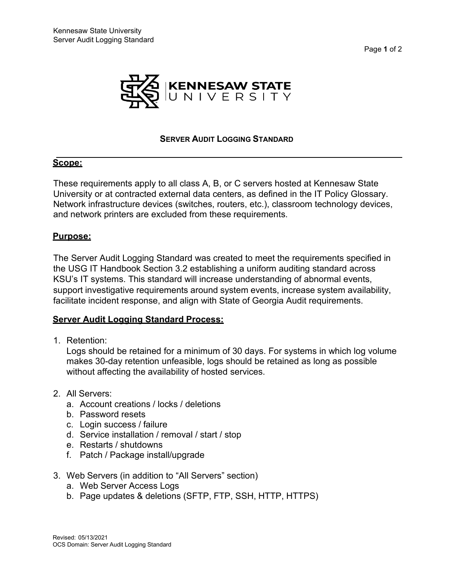Page **1** of 2



### **SERVER AUDIT LOGGING STANDARD**

#### **Scope:**

These requirements apply to all class A, B, or C servers hosted at Kennesaw State University or at contracted external data centers, as defined in the IT Policy Glossary. Network infrastructure devices (switches, routers, etc.), classroom technology devices, and network printers are excluded from these requirements.

#### **Purpose:**

The Server Audit Logging Standard was created to meet the requirements specified in the USG IT Handbook Section 3.2 establishing a uniform auditing standard across KSU's IT systems. This standard will increase understanding of abnormal events, support investigative requirements around system events, increase system availability, facilitate incident response, and align with State of Georgia Audit requirements.

#### **Server Audit Logging Standard Process:**

1. Retention:

Logs should be retained for a minimum of 30 days. For systems in which log volume makes 30-day retention unfeasible, logs should be retained as long as possible without affecting the availability of hosted services.

- 2. All Servers:
	- a. Account creations / locks / deletions
	- b. Password resets
	- c. Login success / failure
	- d. Service installation / removal / start / stop
	- e. Restarts / shutdowns
	- f. Patch / Package install/upgrade
- 3. Web Servers (in addition to "All Servers" section)
	- a. Web Server Access Logs
	- b. Page updates & deletions (SFTP, FTP, SSH, HTTP, HTTPS)